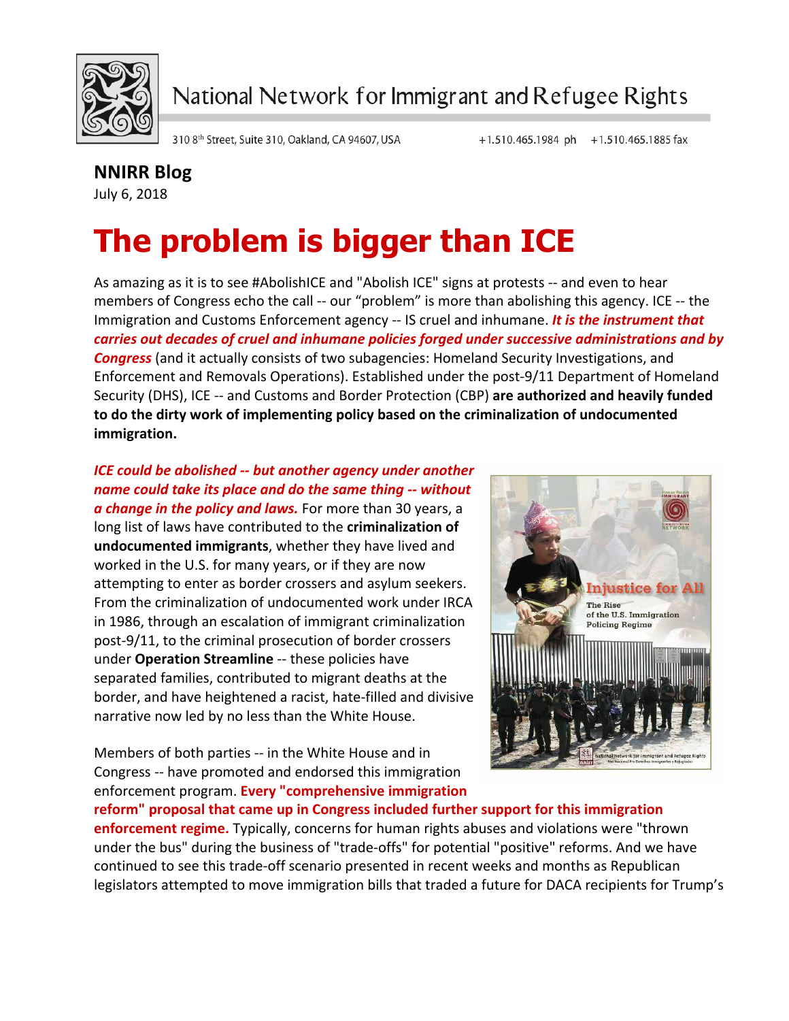

National Network for Immigrant and Refugee Rights

310 8th Street, Suite 310, Oakland, CA 94607, USA

## **NNIRR Blog**

July 6, 2018

## **The problem is bigger than ICE**

As amazing as it is to see #AbolishICE and "Abolish ICE" signs at protests -- and even to hear members of Congress echo the call -- our "problem" is more than abolishing this agency. ICE -- the Immigration and Customs Enforcement agency -- IS cruel and inhumane. *It is the instrument that carries* out decades of cruel and inhumane policies forged under successive administrations and by **Congress** (and it actually consists of two subagencies: Homeland Security Investigations, and Enforcement and Removals Operations). Established under the post-9/11 Department of Homeland Security (DHS), ICE -- and Customs and Border Protection (CBP) are authorized and heavily funded to do the dirty work of implementing policy based on the criminalization of undocumented **immigration.**

## *ICE could be abolished -- but another agency under another name could take its place and do the same thing -- without a* change in the policy and laws. For more than 30 years, a long list of laws have contributed to the **criminalization of** undocumented immigrants, whether they have lived and

worked in the U.S. for many years, or if they are now attempting to enter as border crossers and asylum seekers. From the criminalization of undocumented work under IRCA in 1986, through an escalation of immigrant criminalization post-9/11, to the criminal prosecution of border crossers under **Operation Streamline** -- these policies have separated families, contributed to migrant deaths at the border, and have heightened a racist, hate-filled and divisive narrative now led by no less than the White House.

Members of both parties -- in the White House and in Congress -- have promoted and endorsed this immigration enforcement program. **Every "comprehensive immigration** 



reform" proposal that came up in Congress included further support for this immigration **enforcement regime.** Typically, concerns for human rights abuses and violations were "thrown under the bus" during the business of "trade-offs" for potential "positive" reforms. And we have continued to see this trade-off scenario presented in recent weeks and months as Republican legislators attempted to move immigration bills that traded a future for DACA recipients for Trump's